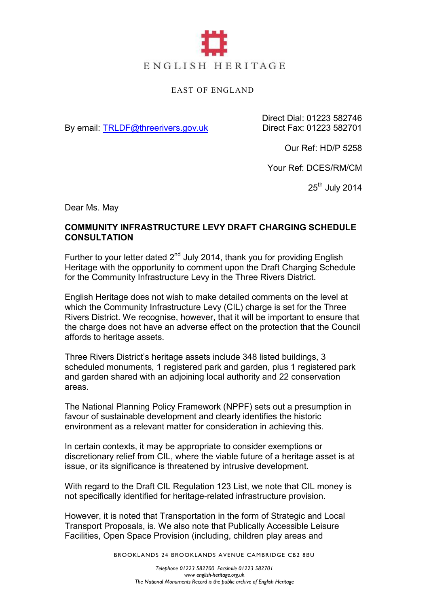

## EAST OF ENGLAND

By email: TRLDF@threerivers.gov.uk

Direct Dial: 01223 582746 Direct Fax: 01223 582701

Our Ref: HD/P 5258

Your Ref: DCES/RM/CM

 $25<sup>th</sup>$  July 2014

Dear Ms. May

## **COMMUNITY INFRASTRUCTURE LEVY DRAFT CHARGING SCHEDULE CONSULTATION**

Further to your letter dated  $2<sup>nd</sup>$  July 2014, thank you for providing English Heritage with the opportunity to comment upon the Draft Charging Schedule for the Community Infrastructure Levy in the Three Rivers District.

English Heritage does not wish to make detailed comments on the level at which the Community Infrastructure Levy (CIL) charge is set for the Three Rivers District. We recognise, however, that it will be important to ensure that the charge does not have an adverse effect on the protection that the Council affords to heritage assets.

Three Rivers District's heritage assets include 348 listed buildings, 3 scheduled monuments, 1 registered park and garden, plus 1 registered park and garden shared with an adjoining local authority and 22 conservation areas.

The National Planning Policy Framework (NPPF) sets out a presumption in favour of sustainable development and clearly identifies the historic environment as a relevant matter for consideration in achieving this.

In certain contexts, it may be appropriate to consider exemptions or discretionary relief from CIL, where the viable future of a heritage asset is at issue, or its significance is threatened by intrusive development.

With regard to the Draft CIL Regulation 123 List, we note that CIL money is not specifically identified for heritage-related infrastructure provision.

However, it is noted that Transportation in the form of Strategic and Local Transport Proposals, is. We also note that Publically Accessible Leisure Facilities, Open Space Provision (including, children play areas and

BROOKLANDS 24 BROOKLANDS AVENUE CAMBRIDGE CB2 8BU